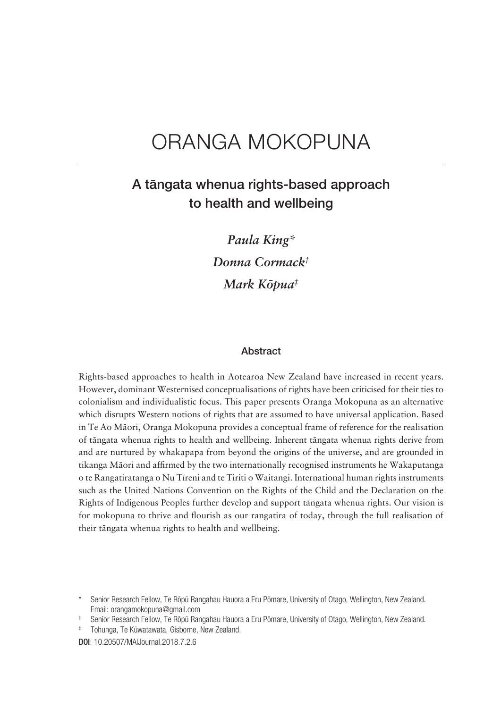# ORANGA MOKOPUNA

## A tängata whenua rights-based approach to health and wellbeing

*Paula King\* Donna Cormack† Mark Köpua‡*

#### Abstract

Rights-based approaches to health in Aotearoa New Zealand have increased in recent years. However, dominant Westernised conceptualisations of rights have been criticised for their ties to colonialism and individualistic focus. This paper presents Oranga Mokopuna as an alternative which disrupts Western notions of rights that are assumed to have universal application. Based in Te Ao Mäori, Oranga Mokopuna provides a conceptual frame of reference for the realisation of tängata whenua rights to health and wellbeing. Inherent tängata whenua rights derive from and are nurtured by whakapapa from beyond the origins of the universe, and are grounded in tikanga Mäori and affirmed by the two internationally recognised instruments he Wakaputanga o te Rangatiratanga o Nu Tïreni and te Tiriti o Waitangi. International human rights instruments such as the United Nations Convention on the Rights of the Child and the Declaration on the Rights of Indigenous Peoples further develop and support tängata whenua rights. Our vision is for mokopuna to thrive and flourish as our rangatira of today, through the full realisation of their tängata whenua rights to health and wellbeing.

† Senior Research Fellow, Te Röpü Rangahau Hauora a Eru Pömare, University of Otago, Wellington, New Zealand.

‡ Tohunga, Te Küwatawata, Gisborne, New Zealand.

Senior Research Fellow, Te Röpü Rangahau Hauora a Eru Pömare, University of Otago, Wellington, New Zealand. Email: orangamokopuna@gmail.com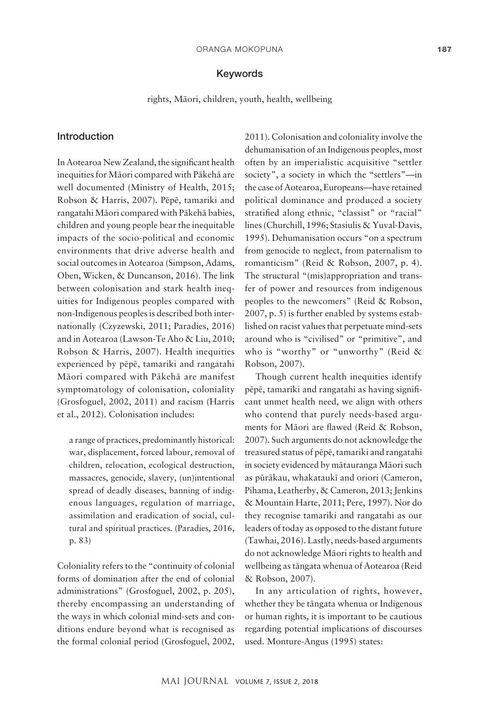#### Keywords

rights, Mäori, children, youth, health, wellbeing

### Introduction

In Aotearoa New Zealand, the significant health inequities for Mäori compared with Päkehä are well documented (Ministry of Health, 2015; Robson & Harris, 2007). Pëpë, tamariki and rangatahi Mäori compared with Päkehä babies, children and young people bear the inequitable impacts of the socio-political and economic environments that drive adverse health and social outcomes in Aotearoa (Simpson, Adams, Oben, Wicken, & Duncanson, 2016). The link between colonisation and stark health inequities for Indigenous peoples compared with non-Indigenous peoples is described both internationally (Czyzewski, 2011; Paradies, 2016) and in Aotearoa (Lawson-Te Aho & Liu, 2010; Robson & Harris, 2007). Health inequities experienced by pëpë, tamariki and rangatahi Mäori compared with Päkehä are manifest symptomatology of colonisation, coloniality (Grosfoguel, 2002, 2011) and racism (Harris et al., 2012). Colonisation includes:

a range of practices, predominantly historical: war, displacement, forced labour, removal of children, relocation, ecological destruction, massacres, genocide, slavery, (un)intentional spread of deadly diseases, banning of indigenous languages, regulation of marriage, assimilation and eradication of social, cultural and spiritual practices. (Paradies, 2016, p. 83)

Coloniality refers to the "continuity of colonial forms of domination after the end of colonial administrations" (Grosfoguel, 2002, p. 205), thereby encompassing an understanding of the ways in which colonial mind-sets and conditions endure beyond what is recognised as the formal colonial period (Grosfoguel, 2002,

2011). Colonisation and coloniality involve the dehumanisation of an Indigenous peoples, most often by an imperialistic acquisitive "settler society", a society in which the "settlers"—in the case of Aotearoa, Europeans—have retained political dominance and produced a society stratified along ethnic, "classist" or "racial" lines (Churchill, 1996; Stasiulis & Yuval-Davis, 1995). Dehumanisation occurs "on a spectrum from genocide to neglect, from paternalism to romanticism" (Reid & Robson, 2007, p. 4). The structural "(mis)appropriation and transfer of power and resources from indigenous peoples to the newcomers" (Reid & Robson, 2007, p. 5) is further enabled by systems established on racist values that perpetuate mind-sets around who is "civilised" or "primitive", and who is "worthy" or "unworthy" (Reid & Robson, 2007).

Though current health inequities identify pëpë, tamariki and rangatahi as having significant unmet health need, we align with others who contend that purely needs-based arguments for Mäori are flawed (Reid & Robson, 2007). Such arguments do not acknowledge the treasured status of pëpë, tamariki and rangatahi in society evidenced by mätauranga Mäori such as püräkau, whakataukï and oriori (Cameron, Pihama, Leatherby, & Cameron, 2013; Jenkins & Mountain Harte, 2011; Pere, 1997). Nor do they recognise tamariki and rangatahi as our leaders of today as opposed to the distant future (Tawhai, 2016). Lastly, needs-based arguments do not acknowledge Mäori rights to health and wellbeing as tängata whenua of Aotearoa (Reid & Robson, 2007).

In any articulation of rights, however, whether they be tängata whenua or Indigenous or human rights, it is important to be cautious regarding potential implications of discourses used. Monture-Angus (1995) states: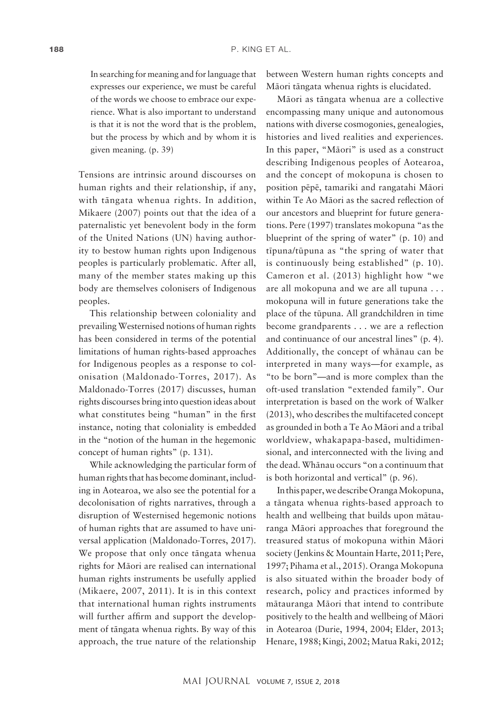In searching for meaning and for language that expresses our experience, we must be careful of the words we choose to embrace our experience. What is also important to understand is that it is not the word that is the problem, but the process by which and by whom it is given meaning. (p. 39)

Tensions are intrinsic around discourses on human rights and their relationship, if any, with tängata whenua rights. In addition, Mikaere (2007) points out that the idea of a paternalistic yet benevolent body in the form of the United Nations (UN) having authority to bestow human rights upon Indigenous peoples is particularly problematic. After all, many of the member states making up this body are themselves colonisers of Indigenous peoples.

This relationship between coloniality and prevailing Westernised notions of human rights has been considered in terms of the potential limitations of human rights-based approaches for Indigenous peoples as a response to colonisation (Maldonado-Torres, 2017). As Maldonado-Torres (2017) discusses, human rights discourses bring into question ideas about what constitutes being "human" in the first instance, noting that coloniality is embedded in the "notion of the human in the hegemonic concept of human rights" (p. 131).

While acknowledging the particular form of human rights that has become dominant, including in Aotearoa, we also see the potential for a decolonisation of rights narratives, through a disruption of Westernised hegemonic notions of human rights that are assumed to have universal application (Maldonado-Torres, 2017). We propose that only once tängata whenua rights for Mäori are realised can international human rights instruments be usefully applied (Mikaere, 2007, 2011). It is in this context that international human rights instruments will further affirm and support the development of tängata whenua rights. By way of this approach, the true nature of the relationship between Western human rights concepts and Mäori tängata whenua rights is elucidated.

Mäori as tängata whenua are a collective encompassing many unique and autonomous nations with diverse cosmogonies, genealogies, histories and lived realities and experiences. In this paper, "Mäori" is used as a construct describing Indigenous peoples of Aotearoa, and the concept of mokopuna is chosen to position pëpë, tamariki and rangatahi Mäori within Te Ao Mäori as the sacred reflection of our ancestors and blueprint for future generations. Pere (1997) translates mokopuna "as the blueprint of the spring of water" (p. 10) and tïpuna/tüpuna as "the spring of water that is continuously being established" (p. 10). Cameron et al. (2013) highlight how "we are all mokopuna and we are all tupuna . . . mokopuna will in future generations take the place of the tüpuna. All grandchildren in time become grandparents . . . we are a reflection and continuance of our ancestral lines" (p. 4). Additionally, the concept of whänau can be interpreted in many ways—for example, as "to be born"—and is more complex than the oft-used translation "extended family". Our interpretation is based on the work of Walker (2013), who describes the multifaceted concept as grounded in both a Te Ao Mäori and a tribal worldview, whakapapa-based, multidimensional, and interconnected with the living and the dead. Whänau occurs "on a continuum that is both horizontal and vertical" (p. 96).

In this paper, we describe Oranga Mokopuna, a tängata whenua rights-based approach to health and wellbeing that builds upon mätauranga Mäori approaches that foreground the treasured status of mokopuna within Mäori society (Jenkins & Mountain Harte, 2011; Pere, 1997; Pihama et al., 2015). Oranga Mokopuna is also situated within the broader body of research, policy and practices informed by mätauranga Mäori that intend to contribute positively to the health and wellbeing of Mäori in Aotearoa (Durie, 1994, 2004; Elder, 2013; Henare, 1988; Kingi, 2002; Matua Raki, 2012;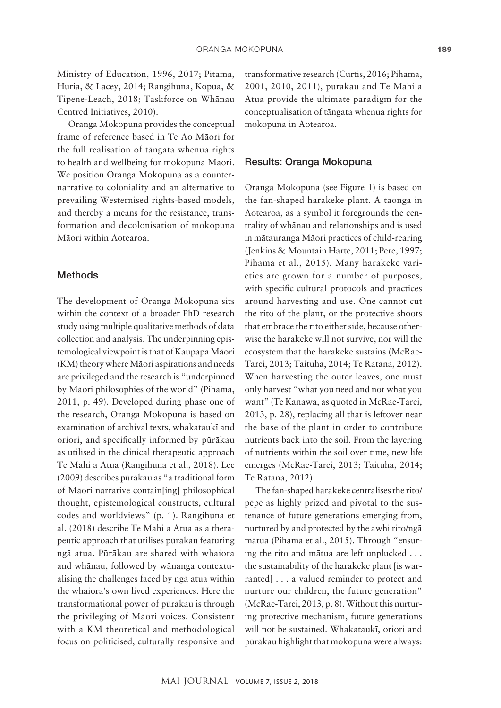Ministry of Education, 1996, 2017; Pitama, Huria, & Lacey, 2014; Rangihuna, Kopua, & Tipene-Leach, 2018; Taskforce on Whänau Centred Initiatives, 2010).

Oranga Mokopuna provides the conceptual frame of reference based in Te Ao Mäori for the full realisation of tängata whenua rights to health and wellbeing for mokopuna Mäori. We position Oranga Mokopuna as a counternarrative to coloniality and an alternative to prevailing Westernised rights-based models, and thereby a means for the resistance, transformation and decolonisation of mokopuna Mäori within Aotearoa.

#### Methods

The development of Oranga Mokopuna sits within the context of a broader PhD research study using multiple qualitative methods of data collection and analysis. The underpinning epistemological viewpoint is that of Kaupapa Mäori (KM) theory where Mäori aspirations and needs are privileged and the research is "underpinned by Mäori philosophies of the world" (Pihama, 2011, p. 49). Developed during phase one of the research, Oranga Mokopuna is based on examination of archival texts, whakataukï and oriori, and specifically informed by püräkau as utilised in the clinical therapeutic approach Te Mahi a Atua (Rangihuna et al., 2018). Lee (2009) describes püräkau as "a traditional form of Mäori narrative contain[ing] philosophical thought, epistemological constructs, cultural codes and worldviews" (p. 1). Rangihuna et al. (2018) describe Te Mahi a Atua as a therapeutic approach that utilises püräkau featuring ngä atua. Püräkau are shared with whaiora and whänau, followed by wänanga contextualising the challenges faced by ngä atua within the whaiora's own lived experiences. Here the transformational power of püräkau is through the privileging of Mäori voices. Consistent with a KM theoretical and methodological focus on politicised, culturally responsive and transformative research (Curtis, 2016; Pihama, 2001, 2010, 2011), püräkau and Te Mahi a Atua provide the ultimate paradigm for the conceptualisation of tängata whenua rights for mokopuna in Aotearoa.

### Results: Oranga Mokopuna

Oranga Mokopuna (see Figure 1) is based on the fan-shaped harakeke plant. A taonga in Aotearoa, as a symbol it foregrounds the centrality of whänau and relationships and is used in mätauranga Mäori practices of child-rearing (Jenkins & Mountain Harte, 2011; Pere, 1997; Pihama et al., 2015). Many harakeke varieties are grown for a number of purposes, with specific cultural protocols and practices around harvesting and use. One cannot cut the rito of the plant, or the protective shoots that embrace the rito either side, because otherwise the harakeke will not survive, nor will the ecosystem that the harakeke sustains (McRae-Tarei, 2013; Taituha, 2014; Te Ratana, 2012). When harvesting the outer leaves, one must only harvest "what you need and not what you want" (Te Kanawa, as quoted in McRae-Tarei, 2013, p. 28), replacing all that is leftover near the base of the plant in order to contribute nutrients back into the soil. From the layering of nutrients within the soil over time, new life emerges (McRae-Tarei, 2013; Taituha, 2014; Te Ratana, 2012).

The fan-shaped harakeke centralises the rito/ pëpë as highly prized and pivotal to the sustenance of future generations emerging from, nurtured by and protected by the awhi rito/ngä mätua (Pihama et al., 2015). Through "ensuring the rito and mätua are left unplucked . . . the sustainability of the harakeke plant [is warranted] . . . a valued reminder to protect and nurture our children, the future generation" (McRae-Tarei, 2013, p. 8). Without this nurturing protective mechanism, future generations will not be sustained. Whakataukï, oriori and püräkau highlight that mokopuna were always: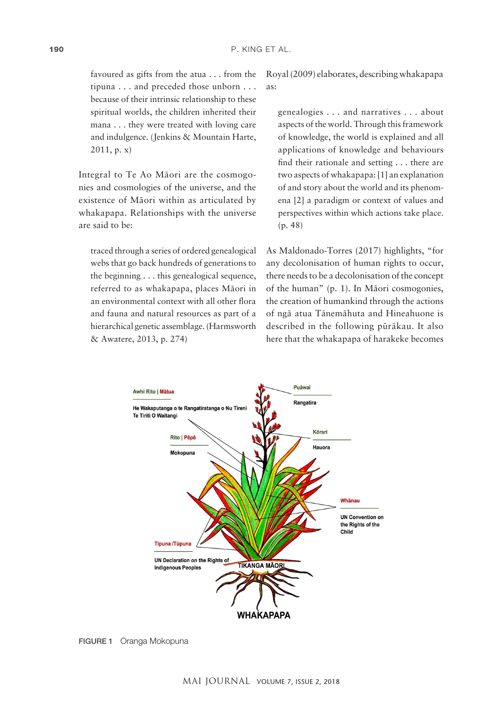favoured as gifts from the atua . . . from the tipuna . . . and preceded those unborn . . . because of their intrinsic relationship to these spiritual worlds, the children inherited their mana . . . they were treated with loving care and indulgence. (Jenkins & Mountain Harte, 2011, p. x)

Integral to Te Ao Mäori are the cosmogonies and cosmologies of the universe, and the existence of Mäori within as articulated by whakapapa. Relationships with the universe are said to be:

traced through a series of ordered genealogical webs that go back hundreds of generations to the beginning . . . this genealogical sequence, referred to as whakapapa, places Mäori in an environmental context with all other flora and fauna and natural resources as part of a hierarchical genetic assemblage. (Harmsworth & Awatere, 2013, p. 274)

Royal (2009) elaborates, describing whakapapa as:

genealogies . . . and narratives . . . about aspects of the world. Through this framework of knowledge, the world is explained and all applications of knowledge and behaviours find their rationale and setting . . . there are two aspects of whakapapa: [1] an explanation of and story about the world and its phenomena [2] a paradigm or context of values and perspectives within which actions take place. (p. 48)

As Maldonado-Torres (2017) highlights, "for any decolonisation of human rights to occur, there needs to be a decolonisation of the concept of the human" (p. 1). In Mäori cosmogonies, the creation of humankind through the actions of ngä atua Tänemähuta and Hineahuone is described in the following püräkau. It also here that the whakapapa of harakeke becomes



FIGURE 1 Oranga Mokopuna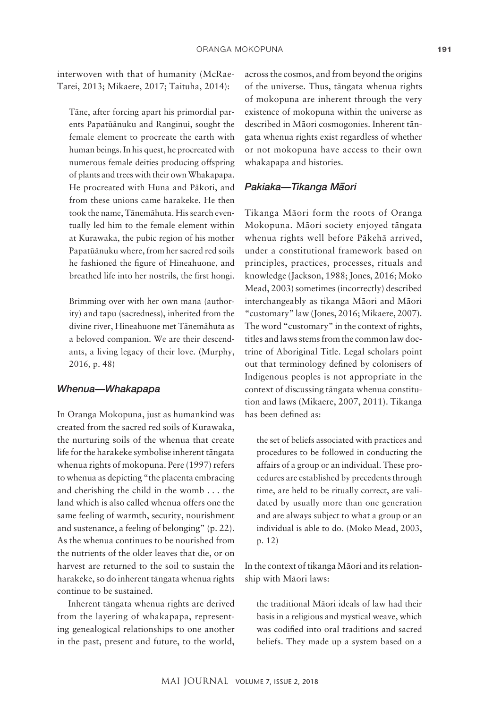interwoven with that of humanity (McRae-Tarei, 2013; Mikaere, 2017; Taituha, 2014):

Täne, after forcing apart his primordial parents Papatüänuku and Ranginui, sought the female element to procreate the earth with human beings. In his quest, he procreated with numerous female deities producing offspring of plants and trees with their own Whakapapa. He procreated with Huna and Päkoti, and from these unions came harakeke. He then took the name, Tänemähuta. His search eventually led him to the female element within at Kurawaka, the pubic region of his mother Papatüänuku where, from her sacred red soils he fashioned the figure of Hineahuone, and breathed life into her nostrils, the first hongi.

Brimming over with her own mana (authority) and tapu (sacredness), inherited from the divine river, Hineahuone met Tänemähuta as a beloved companion. We are their descendants, a living legacy of their love. (Murphy, 2016, p. 48)

### *Whenua—Whakapapa*

In Oranga Mokopuna, just as humankind was created from the sacred red soils of Kurawaka, the nurturing soils of the whenua that create life for the harakeke symbolise inherent tängata whenua rights of mokopuna. Pere (1997) refers to whenua as depicting "the placenta embracing and cherishing the child in the womb . . . the land which is also called whenua offers one the same feeling of warmth, security, nourishment and sustenance, a feeling of belonging" (p. 22). As the whenua continues to be nourished from the nutrients of the older leaves that die, or on harvest are returned to the soil to sustain the harakeke, so do inherent tängata whenua rights continue to be sustained.

Inherent tängata whenua rights are derived from the layering of whakapapa, representing genealogical relationships to one another in the past, present and future, to the world, across the cosmos, and from beyond the origins of the universe. Thus, tängata whenua rights of mokopuna are inherent through the very existence of mokopuna within the universe as described in Mäori cosmogonies. Inherent tängata whenua rights exist regardless of whether or not mokopuna have access to their own whakapapa and histories.

### *Pakiaka—Tikanga M– aori*

Tikanga Mäori form the roots of Oranga Mokopuna. Mäori society enjoyed tängata whenua rights well before Päkehä arrived, under a constitutional framework based on principles, practices, processes, rituals and knowledge (Jackson, 1988; Jones, 2016; Moko Mead, 2003) sometimes (incorrectly) described interchangeably as tikanga Mäori and Mäori "customary" law (Jones, 2016; Mikaere, 2007). The word "customary" in the context of rights, titles and laws stems from the common law doctrine of Aboriginal Title. Legal scholars point out that terminology defined by colonisers of Indigenous peoples is not appropriate in the context of discussing tängata whenua constitution and laws (Mikaere, 2007, 2011). Tikanga has been defined as:

the set of beliefs associated with practices and procedures to be followed in conducting the affairs of a group or an individual. These procedures are established by precedents through time, are held to be ritually correct, are validated by usually more than one generation and are always subject to what a group or an individual is able to do. (Moko Mead, 2003, p. 12)

In the context of tikanga Mäori and its relationship with Mäori laws:

the traditional Mäori ideals of law had their basis in a religious and mystical weave, which was codified into oral traditions and sacred beliefs. They made up a system based on a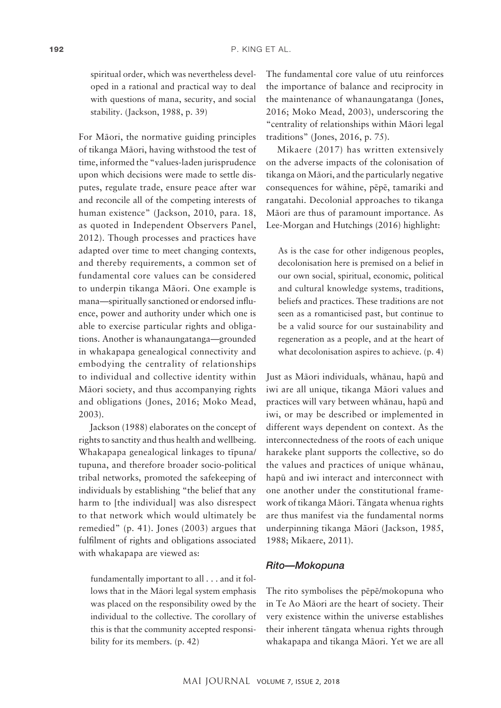spiritual order, which was nevertheless developed in a rational and practical way to deal with questions of mana, security, and social stability. (Jackson, 1988, p. 39)

For Mäori, the normative guiding principles of tikanga Mäori, having withstood the test of time, informed the "values-laden jurisprudence upon which decisions were made to settle disputes, regulate trade, ensure peace after war and reconcile all of the competing interests of human existence" (Jackson, 2010, para. 18, as quoted in Independent Observers Panel, 2012). Though processes and practices have adapted over time to meet changing contexts, and thereby requirements, a common set of fundamental core values can be considered to underpin tikanga Mäori. One example is mana—spiritually sanctioned or endorsed influence, power and authority under which one is able to exercise particular rights and obligations. Another is whanaungatanga—grounded in whakapapa genealogical connectivity and embodying the centrality of relationships to individual and collective identity within Mäori society, and thus accompanying rights and obligations (Jones, 2016; Moko Mead, 2003).

Jackson (1988) elaborates on the concept of rights to sanctity and thus health and wellbeing. Whakapapa genealogical linkages to tïpuna/ tupuna, and therefore broader socio-political tribal networks, promoted the safekeeping of individuals by establishing "the belief that any harm to Ithe individuall was also disrespect to that network which would ultimately be remedied" (p. 41). Jones (2003) argues that fulfilment of rights and obligations associated with whakapapa are viewed as:

fundamentally important to all . . . and it follows that in the Mäori legal system emphasis was placed on the responsibility owed by the individual to the collective. The corollary of this is that the community accepted responsibility for its members. (p. 42)

The fundamental core value of utu reinforces the importance of balance and reciprocity in the maintenance of whanaungatanga (Jones, 2016; Moko Mead, 2003), underscoring the "centrality of relationships within Mäori legal traditions" (Jones, 2016, p. 75).

Mikaere (2017) has written extensively on the adverse impacts of the colonisation of tikanga on Mäori, and the particularly negative consequences for wähine, pëpë, tamariki and rangatahi. Decolonial approaches to tikanga Mäori are thus of paramount importance. As Lee-Morgan and Hutchings (2016) highlight:

As is the case for other indigenous peoples, decolonisation here is premised on a belief in our own social, spiritual, economic, political and cultural knowledge systems, traditions, beliefs and practices. These traditions are not seen as a romanticised past, but continue to be a valid source for our sustainability and regeneration as a people, and at the heart of what decolonisation aspires to achieve. (p. 4)

Just as Mäori individuals, whänau, hapü and iwi are all unique, tikanga Mäori values and practices will vary between whänau, hapü and iwi, or may be described or implemented in different ways dependent on context. As the interconnectedness of the roots of each unique harakeke plant supports the collective, so do the values and practices of unique whänau, hapü and iwi interact and interconnect with one another under the constitutional framework of tikanga Mäori. Tängata whenua rights are thus manifest via the fundamental norms underpinning tikanga Mäori (Jackson, 1985, 1988; Mikaere, 2011).

### *Rito—Mokopuna*

The rito symbolises the pëpë/mokopuna who in Te Ao Mäori are the heart of society. Their very existence within the universe establishes their inherent tängata whenua rights through whakapapa and tikanga Mäori. Yet we are all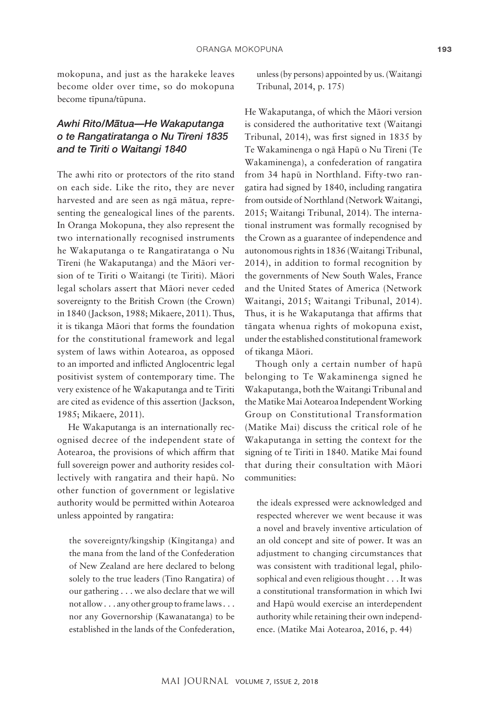mokopuna, and just as the harakeke leaves become older over time, so do mokopuna become tïpuna/tüpuna.

### *Awhi Rito/M– atua—He Wakaputanga o te Rangatiratanga o Nu Tïreni 1835 and te Tiriti o Waitangi 1840*

The awhi rito or protectors of the rito stand on each side. Like the rito, they are never harvested and are seen as ngä mätua, representing the genealogical lines of the parents. In Oranga Mokopuna, they also represent the two internationally recognised instruments he Wakaputanga o te Rangatiratanga o Nu Tïreni (he Wakaputanga) and the Mäori version of te Tiriti o Waitangi (te Tiriti). Mäori legal scholars assert that Mäori never ceded sovereignty to the British Crown (the Crown) in 1840 (Jackson, 1988; Mikaere, 2011). Thus, it is tikanga Mäori that forms the foundation for the constitutional framework and legal system of laws within Aotearoa, as opposed to an imported and inflicted Anglocentric legal positivist system of contemporary time. The very existence of he Wakaputanga and te Tiriti are cited as evidence of this assertion (Jackson, 1985; Mikaere, 2011).

He Wakaputanga is an internationally recognised decree of the independent state of Aotearoa, the provisions of which affirm that full sovereign power and authority resides collectively with rangatira and their hapü. No other function of government or legislative authority would be permitted within Aotearoa unless appointed by rangatira:

the sovereignty/kingship (Kïngitanga) and the mana from the land of the Confederation of New Zealand are here declared to belong solely to the true leaders (Tino Rangatira) of our gathering . . . we also declare that we will not allow . . . any other group to frame laws . . . nor any Governorship (Kawanatanga) to be established in the lands of the Confederation,

unless (by persons) appointed by us. (Waitangi Tribunal, 2014, p. 175)

He Wakaputanga, of which the Mäori version is considered the authoritative text (Waitangi Tribunal, 2014), was first signed in 1835 by Te Wakaminenga o ngä Hapü o Nu Tïreni (Te Wakaminenga), a confederation of rangatira from 34 hapü in Northland. Fifty-two rangatira had signed by 1840, including rangatira from outside of Northland (Network Waitangi, 2015; Waitangi Tribunal, 2014). The international instrument was formally recognised by the Crown as a guarantee of independence and autonomous rights in 1836 (Waitangi Tribunal, 2014), in addition to formal recognition by the governments of New South Wales, France and the United States of America (Network Waitangi, 2015; Waitangi Tribunal, 2014). Thus, it is he Wakaputanga that affirms that tängata whenua rights of mokopuna exist, under the established constitutional framework of tikanga Mäori.

Though only a certain number of hapü belonging to Te Wakaminenga signed he Wakaputanga, both the Waitangi Tribunal and the Matike Mai Aotearoa Independent Working Group on Constitutional Transformation (Matike Mai) discuss the critical role of he Wakaputanga in setting the context for the signing of te Tiriti in 1840. Matike Mai found that during their consultation with Mäori communities:

the ideals expressed were acknowledged and respected wherever we went because it was a novel and bravely inventive articulation of an old concept and site of power. It was an adjustment to changing circumstances that was consistent with traditional legal, philosophical and even religious thought . . . It was a constitutional transformation in which Iwi and Hapü would exercise an interdependent authority while retaining their own independence. (Matike Mai Aotearoa, 2016, p. 44)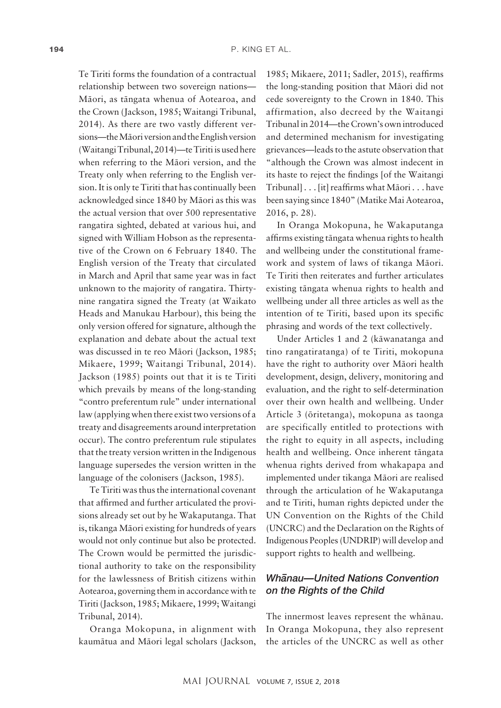Te Tiriti forms the foundation of a contractual relationship between two sovereign nations— Mäori, as tängata whenua of Aotearoa, and the Crown (Jackson, 1985; Waitangi Tribunal, 2014). As there are two vastly different versions—the Mäori version and the English version (Waitangi Tribunal, 2014)—te Tiriti is used here when referring to the Mäori version, and the Treaty only when referring to the English version. It is only te Tiriti that has continually been acknowledged since 1840 by Mäori as this was the actual version that over 500 representative rangatira sighted, debated at various hui, and signed with William Hobson as the representative of the Crown on 6 February 1840. The English version of the Treaty that circulated in March and April that same year was in fact unknown to the majority of rangatira. Thirtynine rangatira signed the Treaty (at Waikato Heads and Manukau Harbour), this being the only version offered for signature, although the explanation and debate about the actual text was discussed in te reo Mäori (Jackson, 1985; Mikaere, 1999; Waitangi Tribunal, 2014). Jackson (1985) points out that it is te Tiriti which prevails by means of the long-standing "contro preferentum rule" under international law (applying when there exist two versions of a treaty and disagreements around interpretation occur). The contro preferentum rule stipulates that the treaty version written in the Indigenous language supersedes the version written in the language of the colonisers (Jackson, 1985).

Te Tiriti was thus the international covenant that affirmed and further articulated the provisions already set out by he Wakaputanga. That is, tikanga Mäori existing for hundreds of years would not only continue but also be protected. The Crown would be permitted the jurisdictional authority to take on the responsibility for the lawlessness of British citizens within Aotearoa, governing them in accordance with te Tiriti (Jackson, 1985; Mikaere, 1999; Waitangi Tribunal, 2014).

Oranga Mokopuna, in alignment with kaumätua and Mäori legal scholars (Jackson,

1985; Mikaere, 2011; Sadler, 2015), reaffirms the long-standing position that Mäori did not cede sovereignty to the Crown in 1840. This affirmation, also decreed by the Waitangi Tribunal in 2014—the Crown's own introduced and determined mechanism for investigating grievances—leads to the astute observation that "although the Crown was almost indecent in its haste to reject the findings [of the Waitangi Tribunal] . . . [it] reaffirms what Mäori . . . have been saying since 1840" (Matike Mai Aotearoa, 2016, p. 28).

In Oranga Mokopuna, he Wakaputanga affirms existing tängata whenua rights to health and wellbeing under the constitutional framework and system of laws of tikanga Mäori. Te Tiriti then reiterates and further articulates existing tängata whenua rights to health and wellbeing under all three articles as well as the intention of te Tiriti, based upon its specific phrasing and words of the text collectively.

Under Articles 1 and 2 (käwanatanga and tino rangatiratanga) of te Tiriti, mokopuna have the right to authority over Mäori health development, design, delivery, monitoring and evaluation, and the right to self-determination over their own health and wellbeing. Under Article 3 (öritetanga), mokopuna as taonga are specifically entitled to protections with the right to equity in all aspects, including health and wellbeing. Once inherent tängata whenua rights derived from whakapapa and implemented under tikanga Mäori are realised through the articulation of he Wakaputanga and te Tiriti, human rights depicted under the UN Convention on the Rights of the Child (UNCRC) and the Declaration on the Rights of Indigenous Peoples (UNDRIP) will develop and support rights to health and wellbeing.

### **Wh**anau–United Nations Convention *on the Rights of the Child*

The innermost leaves represent the whänau. In Oranga Mokopuna, they also represent the articles of the UNCRC as well as other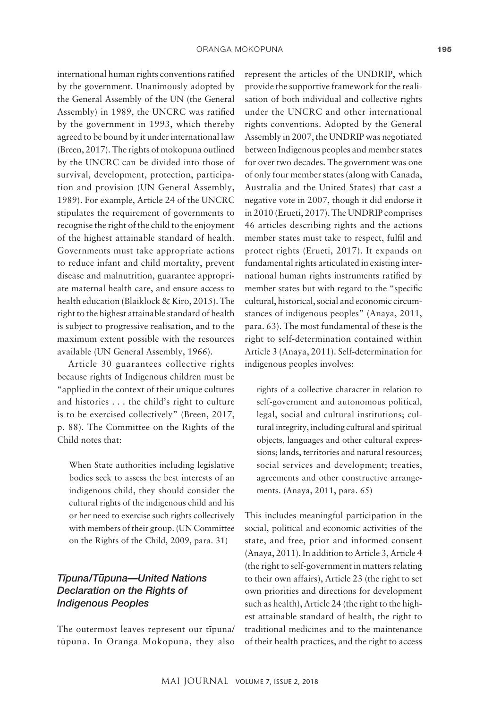international human rights conventions ratified by the government. Unanimously adopted by the General Assembly of the UN (the General Assembly) in 1989, the UNCRC was ratified by the government in 1993, which thereby agreed to be bound by it under international law (Breen, 2017). The rights of mokopuna outlined by the UNCRC can be divided into those of survival, development, protection, participation and provision (UN General Assembly, 1989). For example, Article 24 of the UNCRC stipulates the requirement of governments to recognise the right of the child to the enjoyment of the highest attainable standard of health. Governments must take appropriate actions to reduce infant and child mortality, prevent disease and malnutrition, guarantee appropriate maternal health care, and ensure access to health education (Blaiklock & Kiro, 2015). The right to the highest attainable standard of health is subject to progressive realisation, and to the maximum extent possible with the resources available (UN General Assembly, 1966).

Article 30 guarantees collective rights because rights of Indigenous children must be "applied in the context of their unique cultures and histories . . . the child's right to culture is to be exercised collectively" (Breen, 2017, p. 88). The Committee on the Rights of the Child notes that:

When State authorities including legislative bodies seek to assess the best interests of an indigenous child, they should consider the cultural rights of the indigenous child and his or her need to exercise such rights collectively with members of their group. (UN Committee on the Rights of the Child, 2009, para. 31)

### *Tïpuna/T– upuna—United Nations Declaration on the Rights of Indigenous Peoples*

The outermost leaves represent our tïpuna/ tüpuna. In Oranga Mokopuna, they also represent the articles of the UNDRIP, which provide the supportive framework for the realisation of both individual and collective rights under the UNCRC and other international rights conventions. Adopted by the General Assembly in 2007, the UNDRIP was negotiated between Indigenous peoples and member states for over two decades. The government was one of only four member states (along with Canada, Australia and the United States) that cast a negative vote in 2007, though it did endorse it in 2010 (Erueti, 2017). The UNDRIP comprises 46 articles describing rights and the actions member states must take to respect, fulfil and protect rights (Erueti, 2017). It expands on fundamental rights articulated in existing international human rights instruments ratified by member states but with regard to the "specific cultural, historical, social and economic circumstances of indigenous peoples" (Anaya, 2011, para. 63). The most fundamental of these is the right to self-determination contained within Article 3 (Anaya, 2011). Self-determination for indigenous peoples involves:

rights of a collective character in relation to self-government and autonomous political, legal, social and cultural institutions; cultural integrity, including cultural and spiritual objects, languages and other cultural expressions; lands, territories and natural resources; social services and development; treaties, agreements and other constructive arrangements. (Anaya, 2011, para. 65)

This includes meaningful participation in the social, political and economic activities of the state, and free, prior and informed consent (Anaya, 2011). In addition to Article 3, Article 4 (the right to self-government in matters relating to their own affairs), Article 23 (the right to set own priorities and directions for development such as health), Article 24 (the right to the highest attainable standard of health, the right to traditional medicines and to the maintenance of their health practices, and the right to access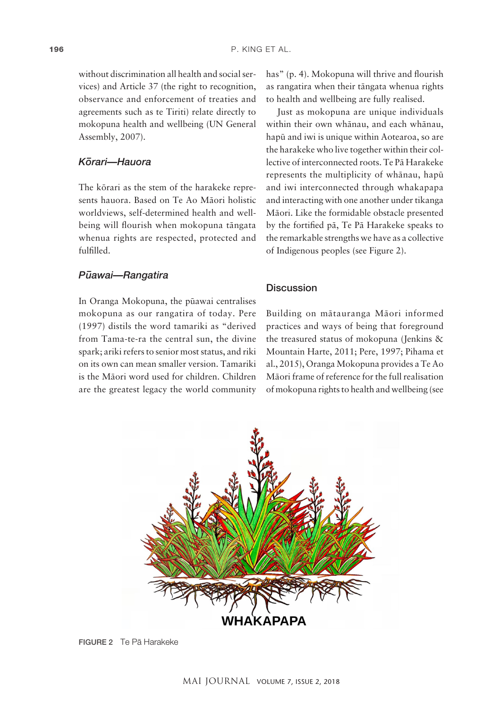without discrimination all health and social services) and Article 37 (the right to recognition, observance and enforcement of treaties and agreements such as te Tiriti) relate directly to mokopuna health and wellbeing (UN General Assembly, 2007).

### *K– orari—Hauora*

The körari as the stem of the harakeke represents hauora. Based on Te Ao Mäori holistic worldviews, self-determined health and wellbeing will flourish when mokopuna tängata whenua rights are respected, protected and fulfilled.

### *P – uawai—Rangatira*

In Oranga Mokopuna, the püawai centralises mokopuna as our rangatira of today. Pere (1997) distils the word tamariki as "derived from Tama-te-ra the central sun, the divine spark; ariki refers to senior most status, and riki on its own can mean smaller version. Tamariki is the Mäori word used for children. Children are the greatest legacy the world community has" (p. 4). Mokopuna will thrive and flourish as rangatira when their tängata whenua rights to health and wellbeing are fully realised.

Just as mokopuna are unique individuals within their own whänau, and each whänau, hapü and iwi is unique within Aotearoa, so are the harakeke who live together within their collective of interconnected roots. Te Pä Harakeke represents the multiplicity of whänau, hapü and iwi interconnected through whakapapa and interacting with one another under tikanga Mäori. Like the formidable obstacle presented by the fortified pä, Te Pä Harakeke speaks to the remarkable strengths we have as a collective of Indigenous peoples (see Figure 2).

### **Discussion**

Building on mätauranga Mäori informed practices and ways of being that foreground the treasured status of mokopuna (Jenkins & Mountain Harte, 2011; Pere, 1997; Pihama et al., 2015), Oranga Mokopuna provides a Te Ao Mäori frame of reference for the full realisation of mokopuna rights to health and wellbeing (see



FIGURE 2 Te Pä Harakeke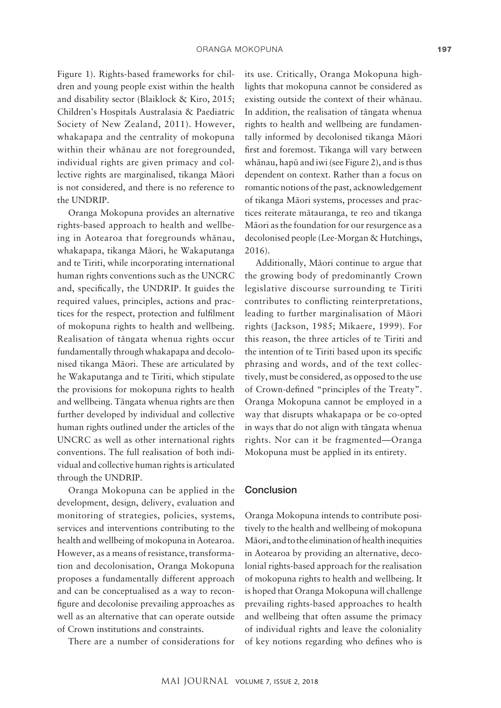Figure 1). Rights-based frameworks for children and young people exist within the health and disability sector (Blaiklock & Kiro, 2015; Children's Hospitals Australasia & Paediatric Society of New Zealand, 2011). However, whakapapa and the centrality of mokopuna within their whänau are not foregrounded, individual rights are given primacy and collective rights are marginalised, tikanga Mäori is not considered, and there is no reference to the UNDRIP.

Oranga Mokopuna provides an alternative rights-based approach to health and wellbeing in Aotearoa that foregrounds whänau, whakapapa, tikanga Mäori, he Wakaputanga and te Tiriti, while incorporating international human rights conventions such as the UNCRC and, specifically, the UNDRIP. It guides the required values, principles, actions and practices for the respect, protection and fulfilment of mokopuna rights to health and wellbeing. Realisation of tängata whenua rights occur fundamentally through whakapapa and decolonised tikanga Mäori. These are articulated by he Wakaputanga and te Tiriti, which stipulate the provisions for mokopuna rights to health and wellbeing. Tängata whenua rights are then further developed by individual and collective human rights outlined under the articles of the UNCRC as well as other international rights conventions. The full realisation of both individual and collective human rights is articulated through the UNDRIP.

Oranga Mokopuna can be applied in the development, design, delivery, evaluation and monitoring of strategies, policies, systems, services and interventions contributing to the health and wellbeing of mokopuna in Aotearoa. However, as a means of resistance, transformation and decolonisation, Oranga Mokopuna proposes a fundamentally different approach and can be conceptualised as a way to reconfigure and decolonise prevailing approaches as well as an alternative that can operate outside of Crown institutions and constraints.

There are a number of considerations for

its use. Critically, Oranga Mokopuna highlights that mokopuna cannot be considered as existing outside the context of their whänau. In addition, the realisation of tängata whenua rights to health and wellbeing are fundamentally informed by decolonised tikanga Mäori first and foremost. Tikanga will vary between whänau, hapü and iwi (see Figure 2), and is thus dependent on context. Rather than a focus on romantic notions of the past, acknowledgement of tikanga Mäori systems, processes and practices reiterate mätauranga, te reo and tikanga Mäori as the foundation for our resurgence as a decolonised people (Lee-Morgan & Hutchings, 2016).

Additionally, Mäori continue to argue that the growing body of predominantly Crown legislative discourse surrounding te Tiriti contributes to conflicting reinterpretations, leading to further marginalisation of Mäori rights (Jackson, 1985; Mikaere, 1999). For this reason, the three articles of te Tiriti and the intention of te Tiriti based upon its specific phrasing and words, and of the text collectively, must be considered, as opposed to the use of Crown-defined "principles of the Treaty". Oranga Mokopuna cannot be employed in a way that disrupts whakapapa or be co-opted in ways that do not align with tängata whenua rights. Nor can it be fragmented—Oranga Mokopuna must be applied in its entirety.

#### Conclusion

Oranga Mokopuna intends to contribute positively to the health and wellbeing of mokopuna Mäori, and to the elimination of health inequities in Aotearoa by providing an alternative, decolonial rights-based approach for the realisation of mokopuna rights to health and wellbeing. It is hoped that Oranga Mokopuna will challenge prevailing rights-based approaches to health and wellbeing that often assume the primacy of individual rights and leave the coloniality of key notions regarding who defines who is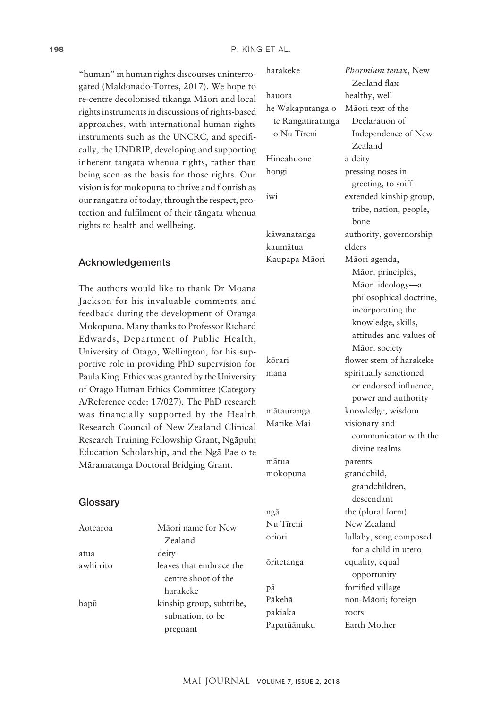harakeke *Phormium tenax*, New

Zealand flax

"human" in human rights discourses uninterrogated (Maldonado-Torres, 2017). We hope to re-centre decolonised tikanga Mäori and local rights instruments in discussions of rights-based approaches, with international human rights instruments such as the UNCRC, and specifically, the UNDRIP, developing and supporting inherent tängata whenua rights, rather than being seen as the basis for those rights. Our vision is for mokopuna to thrive and flourish as our rangatira of today, through the respect, protection and fulfilment of their tängata whenua rights to health and wellbeing.

### Acknowledgements

**Glossarv** 

atua deity

The authors would like to thank Dr Moana Jackson for his invaluable comments and feedback during the development of Oranga Mokopuna. Many thanks to Professor Richard Edwards, Department of Public Health, University of Otago, Wellington, for his supportive role in providing PhD supervision for Paula King. Ethics was granted by the University of Otago Human Ethics Committee (Category A/Reference code: 17/027). The PhD research was financially supported by the Health Research Council of New Zealand Clinical Research Training Fellowship Grant, Ngäpuhi Education Scholarship, and the Ngä Pae o te Märamatanga Doctoral Bridging Grant.

Zealand

harakeke

pregnant

subnation, to be

### Aotearoa Mäori name for New awhi rito leaves that embrace the centre shoot of the hapū kinship group, subtribe, hauora healthy, well he Wakaputanga o te Rangatiratanga o Nu Tïreni Mäori text of the Declaration of Independence of New Zealand Hineahuone a deity hongi pressing noses in greeting, to sniff iwi extended kinship group, tribe, nation, people, bone käwanatanga authority, governorship kaumätua elders Kaupapa Mäori Mäori agenda, Mäori principles, Mäori ideology—a philosophical doctrine, incorporating the knowledge, skills, attitudes and values of Mäori society körari flower stem of harakeke mana spiritually sanctioned or endorsed influence, power and authority mätauranga knowledge, wisdom Matike Mai visionary and communicator with the divine realms mätua parents mokopuna grandchild, grandchildren, descendant ngā the (plural form) Nu Tïreni New Zealand oriori lullaby, song composed for a child in utero öritetanga equality, equal opportunity pä fortified village Päkehä non-Mäori; foreign pakiaka roots

Papatüänuku Earth Mother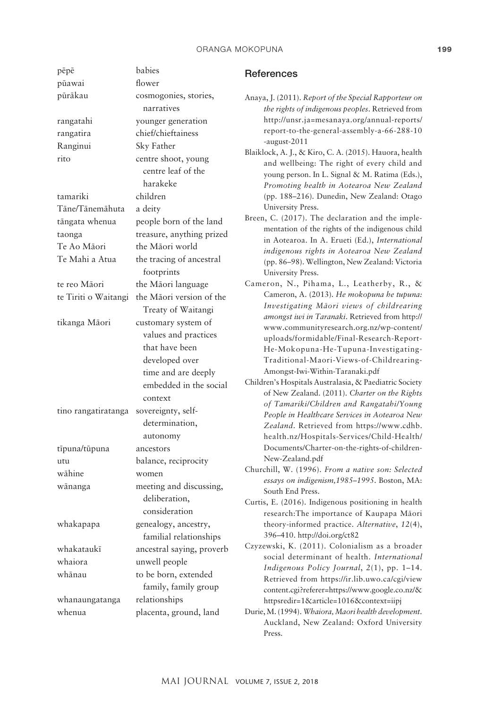#### ORANGA MOKOPUNA 2008 2009 199

| pēpē                 | babies                    | <b>References</b>                                                                                     |
|----------------------|---------------------------|-------------------------------------------------------------------------------------------------------|
| pūawai               | flower                    |                                                                                                       |
| pūrākau              | cosmogonies, stories,     | Anaya, J. (2011). Report of the Special Rapporteur on                                                 |
|                      | narratives                | the rights of indigenous peoples. Retrieved from                                                      |
| rangatahi            | younger generation        | http://unsr.ja=mesanaya.org/annual-reports/                                                           |
| rangatira            | chief/chieftainess        | report-to-the-general-assembly-a-66-288-10                                                            |
| Ranginui             | Sky Father                | -august-2011                                                                                          |
| rito                 | centre shoot, young       | Blaiklock, A. J., & Kiro, C. A. (2015). Hauora, health<br>and wellbeing: The right of every child and |
|                      | centre leaf of the        | young person. In L. Signal & M. Ratima (Eds.),                                                        |
|                      | harakeke                  | Promoting health in Aotearoa New Zealand                                                              |
| tamariki             | children                  | (pp. 188-216). Dunedin, New Zealand: Otago                                                            |
| Tāne/Tānemāhuta      | a deity                   | University Press.                                                                                     |
| tāngata whenua       | people born of the land   | Breen, C. (2017). The declaration and the imple-                                                      |
| taonga               | treasure, anything prized | mentation of the rights of the indigenous child                                                       |
| Te Ao Māori          | the Māori world           | in Aotearoa. In A. Erueti (Ed.), International                                                        |
| Te Mahi a Atua       | the tracing of ancestral  | indigenous rights in Aotearoa New Zealand<br>(pp. 86-98). Wellington, New Zealand: Victoria           |
|                      | footprints                | University Press.                                                                                     |
| te reo Māori         | the Māori language        | Cameron, N., Pihama, L., Leatherby, R., &                                                             |
| te Tiriti o Waitangi | the Māori version of the  | Cameron, A. (2013). He mokopuna he tupuna:                                                            |
|                      | Treaty of Waitangi        | Investigating Māori views of childrearing                                                             |
| tikanga Māori        | customary system of       | amongst iwi in Taranaki. Retrieved from http://                                                       |
|                      | values and practices      | www.communityresearch.org.nz/wp-content/                                                              |
|                      | that have been            | uploads/formidable/Final-Research-Report-<br>He-Mokopuna-He-Tupuna-Investigating-                     |
|                      | developed over            | Traditional-Maori-Views-of-Childrearing-                                                              |
|                      | time and are deeply       | Amongst-Iwi-Within-Taranaki.pdf                                                                       |
|                      | embedded in the social    | Children's Hospitals Australasia, & Paediatric Society                                                |
|                      | context                   | of New Zealand. (2011). Charter on the Rights                                                         |
| tino rangatiratanga  | sovereignty, self-        | of Tamariki/Children and Rangatahi/Young                                                              |
|                      | determination,            | People in Healthcare Services in Aotearoa New                                                         |
|                      | autonomy                  | Zealand. Retrieved from https://www.cdhb.<br>health.nz/Hospitals-Services/Child-Health/               |
| tīpuna/tūpuna        | ancestors                 | Documents/Charter-on-the-rights-of-children-                                                          |
| utu                  | balance, reciprocity      | New-Zealand.pdf                                                                                       |
| wāhine               | women                     | Churchill, W. (1996). From a native son: Selected                                                     |
| wānanga              | meeting and discussing,   | essays on indigenism, 1985-1995. Boston, MA:                                                          |
|                      | deliberation,             | South End Press.                                                                                      |
|                      | consideration             | Curtis, E. (2016). Indigenous positioning in health                                                   |
|                      | genealogy, ancestry,      | research: The importance of Kaupapa Māori                                                             |
| whakapapa            | familial relationships    | theory-informed practice. Alternative, 12(4),<br>396-410. http://doi.org/ct82                         |
| whakataukī           | ancestral saying, proverb | Czyzewski, K. (2011). Colonialism as a broader                                                        |
| whaiora              | unwell people             | social determinant of health. International                                                           |
| whānau               |                           | Indigenous Policy Journal, 2(1), pp. 1-14.                                                            |
|                      | to be born, extended      | Retrieved from https://ir.lib.uwo.ca/cgi/view                                                         |
|                      | family, family group      | content.cgi?referer=https://www.google.co.nz/&                                                        |
| whanaungatanga       | relationships             | httpsredir=1&article=1016&context=iipj                                                                |
| whenua               | placenta, ground, land    | Durie, M. (1994). Whaiora, Maori health development.<br>Auckland, New Zealand: Oxford University      |
|                      |                           | Press.                                                                                                |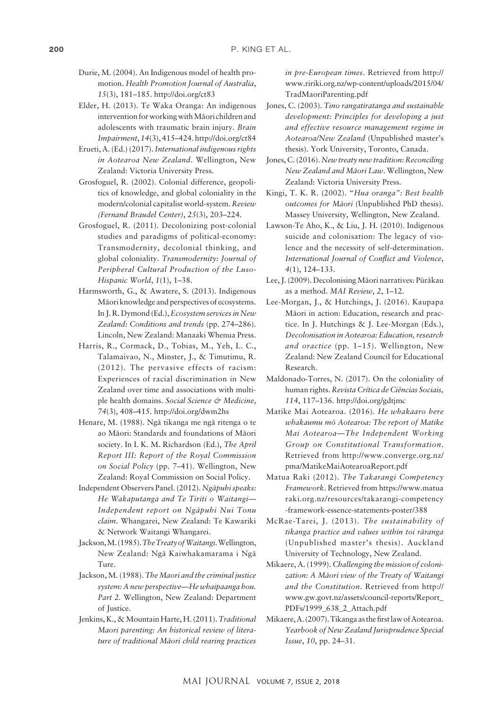- Durie, M. (2004). An Indigenous model of health promotion. *Health Promotion Journal of Australia*, *15*(3), 181–185.<http://doi.org/ct83>
- Elder, H. (2013). Te Waka Oranga: An indigenous intervention for working with Mäori children and adolescents with traumatic brain injury. *Brain Impairment*, *14*(3), 415–424.<http://doi.org/ct84>
- Erueti, A. (Ed.) (2017). *International indigenous rights in Aotearoa New Zealand*. Wellington, New Zealand: Victoria University Press.
- Grosfoguel, R. (2002). Colonial difference, geopolitics of knowledge, and global coloniality in the modern/colonial capitalist world-system. *Review (Fernand Braudel Center)*, *25*(3), 203–224.
- Grosfoguel, R. (2011). Decolonizing post-colonial studies and paradigms of political-economy: Transmodernity, decolonial thinking, and global coloniality. *Transmodernity: Journal of Peripheral Cultural Production of the Luso-Hispanic World*, *1*(1), 1–38.
- Harmsworth, G., & Awatere, S. (2013). Indigenous Mäori knowledge and perspectives of ecosystems. In J. R. Dymond (Ed.), *Ecosystem services in New Zealand: Conditions and trends* (pp. 274–286). Lincoln, New Zealand: Manaaki Whenua Press.
- Harris, R., Cormack, D., Tobias, M., Yeh, L. C., Talamaivao, N., Minster, J., & Timutimu, R. (2012). The pervasive effects of racism: Experiences of racial discrimination in New Zealand over time and associations with multiple health domains. *Social Science & Medicine*, *74*(3), 408–415.<http://doi.org/dwm2hs>
- Henare, M. (1988). Ngä tikanga me ngä ritenga o te ao Mäori: Standards and foundations of Mäori society. In I. K. M. Richardson (Ed.), *The April Report III: Report of the Royal Commission on Social Policy* (pp. 7–41). Wellington, New Zealand: Royal Commission on Social Policy.
- Independent Observers Panel. (2012). *Ngäpuhi speaks: He Wakaputanga and Te Tiriti o Waitangi— Independent report on Ngäpuhi Nui Tonu claim*. Whangarei, New Zealand: Te Kawariki & Network Waitangi Whangarei.
- Jackson, M. (1985). *The Treaty of Waitangi*. Wellington, New Zealand: Ngä Kaiwhakamarama i Ngä Ture.
- Jackson, M. (1988). *The Maori and the criminal justice system: A new perspective—He whaipaanga hou. Part 2.* Wellington, New Zealand: Department of Justice.
- Jenkins, K., & Mountain Harte, H. (2011). *Traditional Maori parenting: An historical review of literature of traditional Mäori child rearing practices*

*in pre-European times*. Retrieved from [http://](http://www.ririki.org.nz/wp-content/uploads/2015/04/TradMaoriParenting.pdf) [www.ririki.org.nz/wp-content/uploads/2015/04/](http://www.ririki.org.nz/wp-content/uploads/2015/04/TradMaoriParenting.pdf) [TradMaoriParenting.pdf](http://www.ririki.org.nz/wp-content/uploads/2015/04/TradMaoriParenting.pdf)

- Jones, C. (2003). *Tino rangatiratanga and sustainable development: Principles for developing a just and effective resource management regime in Aotearoa/New Zealand* (Unpublished master's thesis). York University, Toronto, Canada.
- Jones, C. (2016). *New treaty new tradition: Reconciling New Zealand and Mäori Law*. Wellington, New Zealand: Victoria University Press.
- Kingi, T. K. R. (2002). "*Hua oranga": Best health outcomes for Mäori* (Unpublished PhD thesis). Massey University, Wellington, New Zealand.
- Lawson-Te Aho, K., & Liu, J. H. (2010). Indigenous suicide and colonisation: The legacy of violence and the necessity of self-determination. *International Journal of Conflict and Violence*, *4*(1), 124–133.
- Lee, J. (2009). Decolonising Mäori narratives: Püräkau as a method. *MAI Review*, *2*, 1–12.
- Lee-Morgan, J., & Hutchings, J. (2016). Kaupapa Mäori in action: Education, research and practice. In J. Hutchings & J. Lee-Morgan (Eds.), *Decolonisation in Aotearoa: Education, research and oractice* (pp. 1–15). Wellington, New Zealand: New Zealand Council for Educational Research.
- Maldonado-Torres, N. (2017). On the coloniality of human rights. *Revista Crítica de Ciências Sociais, 114*, 117–136. <http://doi.org/gdtjmc>
- Matike Mai Aotearoa. (2016). *He whakaaro here whakaumu mö Aotearoa: The report of Matike Mai Aotearoa—The Independent Working Group on Constitutional Transformation*. Retrieved from [http://www.converge.org.nz/](http://www.converge.org.nz/pma/MatikeMaiAotearoaReport.pdf) [pma/MatikeMaiAotearoaReport.pdf](http://www.converge.org.nz/pma/MatikeMaiAotearoaReport.pdf)
- Matua Raki (2012). *The Takarangi Competency Framework*. Retrieved from [https://www.matua](https://www.matuaraki.org.nz/resources/takarangi-competency-framework-essence-statements-poster/388) [raki.org.nz/resources/takarangi-competency](https://www.matuaraki.org.nz/resources/takarangi-competency-framework-essence-statements-poster/388) [-framework-essence-statements-poster/388](https://www.matuaraki.org.nz/resources/takarangi-competency-framework-essence-statements-poster/388)
- McRae-Tarei, J. (2013). *The sustainability of tikanga practice and values within toi räranga*  (Unpublished master's thesis). Auckland University of Technology, New Zealand.
- Mikaere, A. (1999). *Challenging the mission of colonization: A Mäori view of the Treaty of Waitangi and the Constitution*. Retrieved from [http://](http://www.gw.govt.nz/assets/council-reports/Report_PDFs/1999_638_2_Attach.pdf) [www.gw.govt.nz/assets/council-reports/Report\\_](http://www.gw.govt.nz/assets/council-reports/Report_PDFs/1999_638_2_Attach.pdf) [PDFs/1999\\_638\\_2\\_Attach.pdf](http://www.gw.govt.nz/assets/council-reports/Report_PDFs/1999_638_2_Attach.pdf)
- Mikaere, A. (2007). Tikanga as the first law of Aotearoa. *Yearbook of New Zealand Jurisprudence Special Issue*, *10*, pp. 24–31.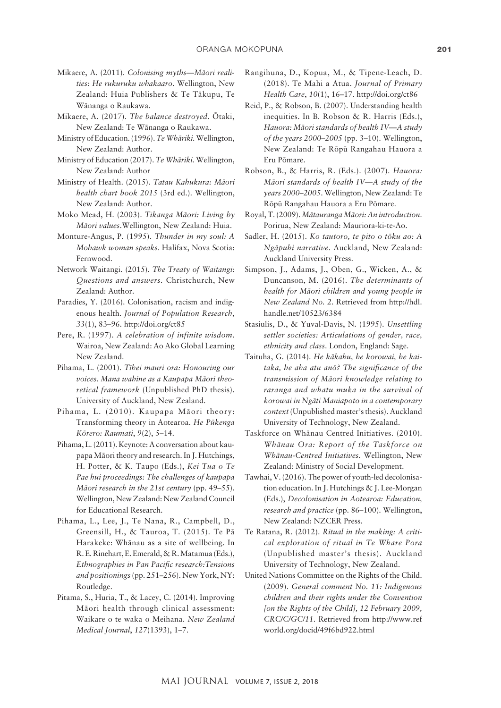- Mikaere, A. (2011). *Colonising myths—Mäori realities: He rukuruku whakaaro*. Wellington, New Zealand: Huia Publishers & Te Täkupu, Te Wänanga o Raukawa.
- Mikaere, A. (2017). *The balance destroyed*. Ötaki, New Zealand: Te Wänanga o Raukawa.
- Ministry of Education. (1996). *Te Whäriki.* Wellington, New Zealand: Author.
- Ministry of Education (2017). *Te Whäriki.* Wellington, New Zealand: Author
- Ministry of Health. (2015). *Tatau Kahukura: Mäori health chart book 2015* (3rd ed.). Wellington, New Zealand: Author.
- Moko Mead, H. (2003). *Tikanga Mäori: Living by Mäori values*.Wellington, New Zealand: Huia.
- Monture-Angus, P. (1995). *Thunder in my soul: A Mohawk woman speaks*. Halifax, Nova Scotia: Fernwood.
- Network Waitangi. (2015). *The Treaty of Waitangi: Questions and answers.* Christchurch, New Zealand: Author.
- Paradies, Y. (2016). Colonisation, racism and indigenous health. *Journal of Population Research*, *33*(1), 83–96.<http://doi.org/ct85>
- Pere, R. (1997). *A celebration of infinite wisdom*. Wairoa, New Zealand: Ao Ako Global Learning New Zealand.
- Pihama, L. (2001). *Tïhei mauri ora: Honouring our voices. Mana wahine as a Kaupapa Mäori theoretical framework* (Unpublished PhD thesis). University of Auckland, New Zealand.
- Pihama, L. (2010). Kaupapa Mäori theory: Transforming theory in Aotearoa. *He Pükenga Körero: Raumati*, *9*(2), 5–14.
- Pihama, L. (2011). Keynote: A conversation about kaupapa Mäori theory and research. In J. Hutchings, H. Potter, & K. Taupo (Eds.), *Kei Tua o Te Pae hui proceedings: The challenges of kaupapa Mäori research in the 21st century* (pp. 49–55). Wellington, New Zealand: New Zealand Council for Educational Research.
- Pihama, L., Lee, J., Te Nana, R., Campbell, D., Greensill, H., & Tauroa, T. (2015). Te Pä Harakeke: Whänau as a site of wellbeing. In R.E.Rinehart, E. Emerald, & R. Matamua (Eds.), *Ethnographies in Pan Pacific research:Tensions and positionings* (pp. 251–256). New York, NY: Routledge.
- Pitama, S., Huria, T., & Lacey, C. (2014). Improving Mäori health through clinical assessment: Waikare o te waka o Meihana. *New Zealand Medical Journal*, *127*(1393), 1–7.
- Rangihuna, D., Kopua, M., & Tipene-Leach, D. (2018). Te Mahi a Atua. *Journal of Primary Health Care*, *10*(1), 16–17. <http://doi.org/ct86>
- Reid, P., & Robson, B. (2007). Understanding health inequities. In B. Robson & R. Harris (Eds.), *Hauora: Mäori standards of health IV—A study of the years 2000–2005* (pp. 3–10). Wellington, New Zealand: Te Röpü Rangahau Hauora a Eru Pömare.
- Robson, B., & Harris, R. (Eds.). (2007). *Hauora: Mäori standards of health IV—A study of the years 2000–2005*. Wellington, New Zealand: Te Röpü Rangahau Hauora a Eru Pömare.
- Royal, T. (2009). *Mätauranga Mäori: An introduction*. Porirua, New Zealand: Mauriora-ki-te-Ao.
- Sadler, H. (2015). *Ko tautoro, te pito o töku ao: A Ngäpuhi narrative*. Auckland, New Zealand: Auckland University Press.
- Simpson, J., Adams, J., Oben, G., Wicken, A., & Duncanson, M. (2016). *The determinants of health for Mäori children and young people in New Zealand No. 2*. Retrieved from [http://hdl.](http://hdl.handle.net/10523/6384) [handle.net/10523/6384](http://hdl.handle.net/10523/6384)
- Stasiulis, D., & Yuval-Davis, N. (1995). *Unsettling settler societies: Articulations of gender, race, ethnicity and class*. London, England: Sage.
- Taituha, G. (2014). *He käkahu, he korowai, he kaitaka, he aha atu anö? The significance of the transmission of Mäori knowledge relating to raranga and whatu muka in the survival of korowai in Ngäti Maniapoto in a contemporary context* (Unpublished master's thesis). Auckland University of Technology, New Zealand.
- Taskforce on Whänau Centred Initiatives. (2010). *Whänau Ora: Report of the Taskforce on Whänau-Centred Initiatives.* Wellington, New Zealand: Ministry of Social Development.
- Tawhai, V. (2016). The power of youth-led decolonisation education. In J. Hutchings & J. Lee-Morgan (Eds.), *Decolonisation in Aotearoa: Education, research and practice* (pp. 86–100). Wellington, New Zealand: NZCER Press.
- Te Ratana, R. (2012). *Ritual in the making: A critical exploration of ritual in Te Whare Pora*  (Unpublished master's thesis). Auckland University of Technology, New Zealand.
- United Nations Committee on the Rights of the Child. (2009). *General comment No. 11: Indigenous children and their rights under the Convention [on the Rights of the Child], 12 February 2009, CRC/C/GC/11.* Retrieved from [http://www.ref](http://www.refworld.org/docid/49f6bd922.html) [world.org/docid/49f6bd922.html](http://www.refworld.org/docid/49f6bd922.html)